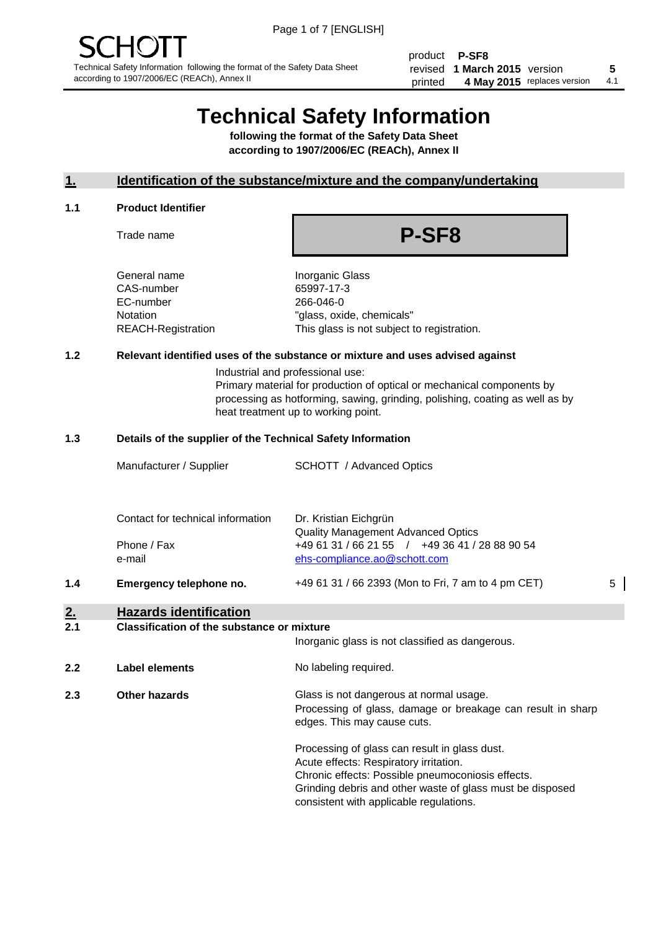product **P-SF8** revised **5 1 March 2015** version printed 4 May 2015 replaces version 4.1

# **Technical Safety Information**

**following the format of the Safety Data Sheet according to 1907/2006/EC (REACh), Annex II**

#### **1. Identification of the substance/mixture and the company/undertaking**

#### **1.1 Product Identifier**

Trade name

## **P-SF8**

General name **Inorganic Glass** CAS-number 65997-17-3 EC-number 266-046-0

Notation "glass, oxide, chemicals" REACH-Registration This glass is not subject to registration.

#### **1.2 Relevant identified uses of the substance or mixture and uses advised against**

Industrial and professional use: Primary material for production of optical or mechanical components by processing as hotforming, sawing, grinding, polishing, coating as well as by heat treatment up to working point.

#### **1.3 Details of the supplier of the Technical Safety Information**

| $\bullet$ | ila – anala islam tific atian     |                                                                                |   |
|-----------|-----------------------------------|--------------------------------------------------------------------------------|---|
| 1.4       | Emergency telephone no.           | +49 61 31 / 66 2393 (Mon to Fri, 7 am to 4 pm CET)                             | 5 |
|           | Phone / Fax<br>e-mail             | +49 61 31 / 66 21 55 / +49 36 41 / 28 88 90 54<br>ehs-compliance.ao@schott.com |   |
|           | Contact for technical information | Dr. Kristian Eichgrün<br><b>Quality Management Advanced Optics</b>             |   |
|           | Manufacturer / Supplier           | <b>SCHOTT</b> / Advanced Optics                                                |   |
|           |                                   |                                                                                |   |

#### **2. Hazards identification 2.1 Classification of the substance or mixture**

| z.  | Classification of the substance of mixture | Inorganic glass is not classified as dangerous.                                                                                                                                                                                                      |
|-----|--------------------------------------------|------------------------------------------------------------------------------------------------------------------------------------------------------------------------------------------------------------------------------------------------------|
| 2.2 | Label elements                             | No labeling required.                                                                                                                                                                                                                                |
| 2.3 | <b>Other hazards</b>                       | Glass is not dangerous at normal usage.<br>Processing of glass, damage or breakage can result in sharp<br>edges. This may cause cuts.                                                                                                                |
|     |                                            | Processing of glass can result in glass dust.<br>Acute effects: Respiratory irritation.<br>Chronic effects: Possible pneumoconiosis effects.<br>Grinding debris and other waste of glass must be disposed<br>consistent with applicable regulations. |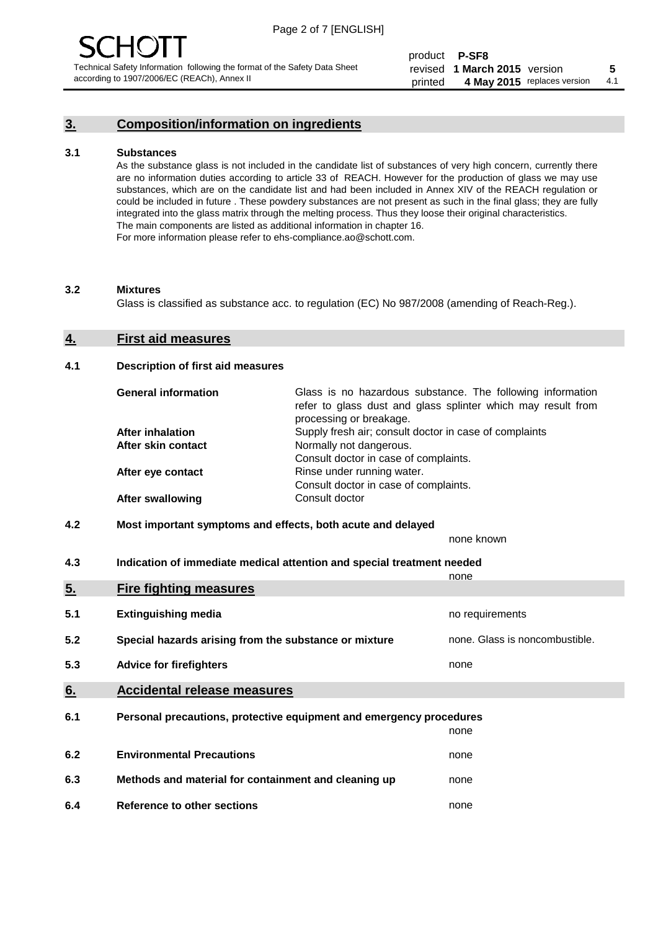#### **3. Composition/information on ingredients**

#### **3.1 Substances**

As the substance glass is not included in the candidate list of substances of very high concern, currently there are no information duties according to article 33 of REACH. However for the production of glass we may use substances, which are on the candidate list and had been included in Annex XIV of the REACH regulation or could be included in future . These powdery substances are not present as such in the final glass; they are fully integrated into the glass matrix through the melting process. Thus they loose their original characteristics. The main components are listed as additional information in chapter 16. For more information please refer to ehs-compliance.ao@schott.com.

#### **3.2 Mixtures**

Glass is classified as substance acc. to regulation (EC) No 987/2008 (amending of Reach-Reg.).

#### **4. First aid measures**

#### **4.1 Description of first aid measures**

| <b>General information</b> | Glass is no hazardous substance. The following information<br>refer to glass dust and glass splinter which may result from<br>processing or breakage. |
|----------------------------|-------------------------------------------------------------------------------------------------------------------------------------------------------|
| After inhalation           | Supply fresh air; consult doctor in case of complaints                                                                                                |
| After skin contact         | Normally not dangerous.                                                                                                                               |
|                            | Consult doctor in case of complaints.                                                                                                                 |
| After eye contact          | Rinse under running water.                                                                                                                            |
|                            | Consult doctor in case of complaints.                                                                                                                 |
| <b>After swallowing</b>    | Consult doctor                                                                                                                                        |

#### **4.2 Most important symptoms and effects, both acute and delayed**

none known

**4.3 Indication of immediate medical attention and special treatment needed** 

|     |                                                                     | none                           |  |
|-----|---------------------------------------------------------------------|--------------------------------|--|
| 5.  | <b>Fire fighting measures</b>                                       |                                |  |
| 5.1 | <b>Extinguishing media</b>                                          | no requirements                |  |
| 5.2 | Special hazards arising from the substance or mixture               | none. Glass is noncombustible. |  |
| 5.3 | <b>Advice for firefighters</b>                                      | none                           |  |
| 6.  | <b>Accidental release measures</b>                                  |                                |  |
| 6.1 | Personal precautions, protective equipment and emergency procedures |                                |  |
|     |                                                                     | none                           |  |
| 6.2 | <b>Environmental Precautions</b>                                    | none                           |  |
| 6.3 | Methods and material for containment and cleaning up                | none                           |  |
| 6.4 | Reference to other sections                                         | none                           |  |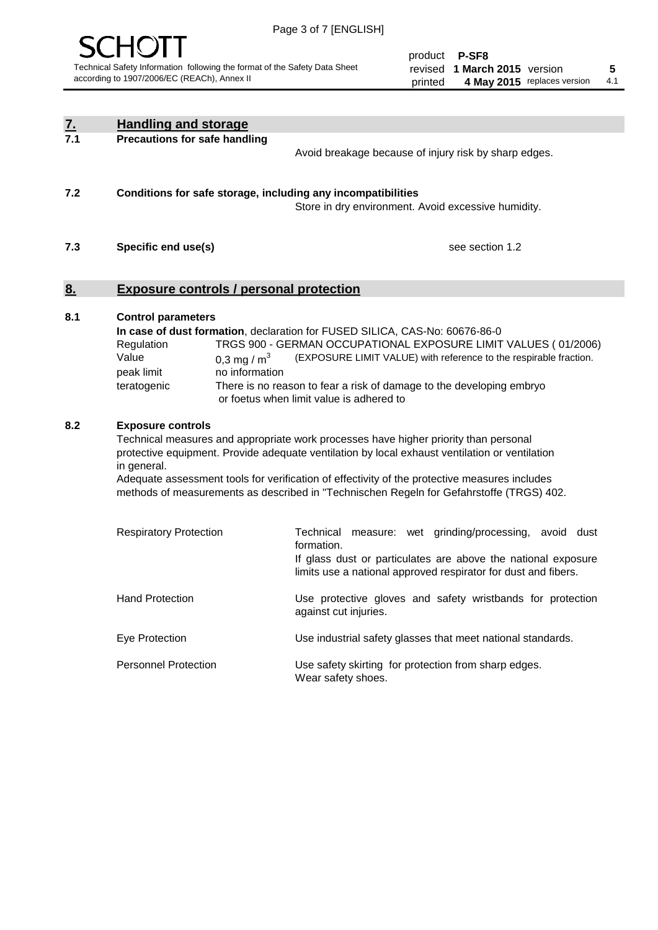

| <u>7.</u><br>7.1 | <b>Handling and storage</b>                                                   |                                 |                                                                                                                                                                                                                                                                                                                                                                                     |
|------------------|-------------------------------------------------------------------------------|---------------------------------|-------------------------------------------------------------------------------------------------------------------------------------------------------------------------------------------------------------------------------------------------------------------------------------------------------------------------------------------------------------------------------------|
|                  | <b>Precautions for safe handling</b>                                          |                                 | Avoid breakage because of injury risk by sharp edges.                                                                                                                                                                                                                                                                                                                               |
| 7.2              |                                                                               |                                 | Conditions for safe storage, including any incompatibilities<br>Store in dry environment. Avoid excessive humidity.                                                                                                                                                                                                                                                                 |
| 7.3              | Specific end use(s)                                                           |                                 | see section 1.2                                                                                                                                                                                                                                                                                                                                                                     |
| <u>8.</u>        | <b>Exposure controls / personal protection</b>                                |                                 |                                                                                                                                                                                                                                                                                                                                                                                     |
| 8.1              | <b>Control parameters</b><br>Regulation<br>Value<br>peak limit<br>teratogenic | 0,3 mg / $m3$<br>no information | In case of dust formation, declaration for FUSED SILICA, CAS-No: 60676-86-0<br>TRGS 900 - GERMAN OCCUPATIONAL EXPOSURE LIMIT VALUES (01/2006)<br>(EXPOSURE LIMIT VALUE) with reference to the respirable fraction.<br>There is no reason to fear a risk of damage to the developing embryo<br>or foetus when limit value is adhered to                                              |
| 8.2              | <b>Exposure controls</b><br>in general.                                       |                                 | Technical measures and appropriate work processes have higher priority than personal<br>protective equipment. Provide adequate ventilation by local exhaust ventilation or ventilation<br>Adequate assessment tools for verification of effectivity of the protective measures includes<br>methods of measurements as described in "Technischen Regeln for Gefahrstoffe (TRGS) 402. |
|                  | <b>Respiratory Protection</b>                                                 |                                 | Technical measure: wet grinding/processing, avoid dust<br>formation.<br>If glass dust or particulates are above the national exposure<br>limits use a national approved respirator for dust and fibers.                                                                                                                                                                             |
|                  | <b>Hand Protection</b>                                                        |                                 | Use protective gloves and safety wristbands for protection<br>against cut injuries.                                                                                                                                                                                                                                                                                                 |
|                  | Eye Protection                                                                |                                 | Use industrial safety glasses that meet national standards.                                                                                                                                                                                                                                                                                                                         |
|                  | <b>Personnel Protection</b>                                                   |                                 | Use safety skirting for protection from sharp edges.<br>Wear safety shoes.                                                                                                                                                                                                                                                                                                          |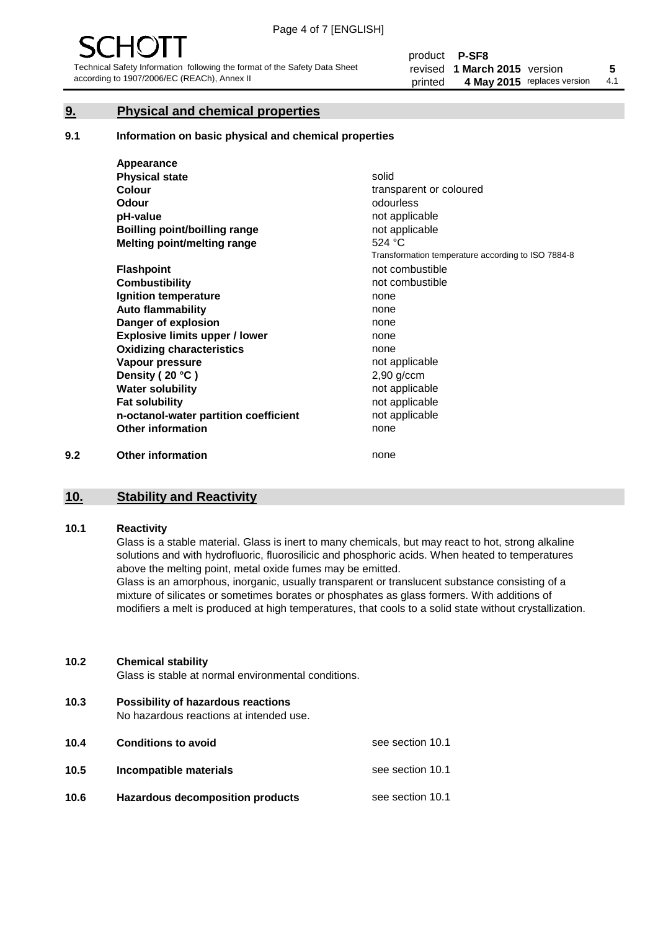#### **9. Physical and chemical properties**

#### **9.1 Information on basic physical and chemical properties**

|     | Appearance                            |                                                    |
|-----|---------------------------------------|----------------------------------------------------|
|     | <b>Physical state</b>                 | solid                                              |
|     | <b>Colour</b>                         | transparent or coloured                            |
|     | <b>Odour</b>                          | odourless                                          |
|     | pH-value                              | not applicable                                     |
|     | Boilling point/boilling range         | not applicable                                     |
|     | Melting point/melting range           | 524 °C                                             |
|     |                                       | Transformation temperature according to ISO 7884-8 |
|     | <b>Flashpoint</b>                     | not combustible                                    |
|     | <b>Combustibility</b>                 | not combustible                                    |
|     | Ignition temperature                  | none                                               |
|     | <b>Auto flammability</b>              | none                                               |
|     | Danger of explosion                   | none                                               |
|     | <b>Explosive limits upper / lower</b> | none                                               |
|     | <b>Oxidizing characteristics</b>      | none                                               |
|     | Vapour pressure                       | not applicable                                     |
|     | Density (20 °C)                       | $2,90$ g/ccm                                       |
|     | <b>Water solubility</b>               | not applicable                                     |
|     | <b>Fat solubility</b>                 | not applicable                                     |
|     | n-octanol-water partition coefficient | not applicable                                     |
|     | <b>Other information</b>              | none                                               |
| 9.2 | <b>Other information</b>              | none                                               |

#### **10. Stability and Reactivity**

#### **10.1 Reactivity**

Glass is a stable material. Glass is inert to many chemicals, but may react to hot, strong alkaline solutions and with hydrofluoric, fluorosilicic and phosphoric acids. When heated to temperatures above the melting point, metal oxide fumes may be emitted.

Glass is an amorphous, inorganic, usually transparent or translucent substance consisting of a mixture of silicates or sometimes borates or phosphates as glass formers. With additions of modifiers a melt is produced at high temperatures, that cools to a solid state without crystallization.

#### **10.2 Chemical stability**

Glass is stable at normal environmental conditions.

**10.3 Possibility of hazardous reactions** 

No hazardous reactions at intended use.

| 10.4 | <b>Conditions to avoid</b>              | see section 10.1 |
|------|-----------------------------------------|------------------|
| 10.5 | Incompatible materials                  | see section 10.1 |
| 10.6 | <b>Hazardous decomposition products</b> | see section 10.1 |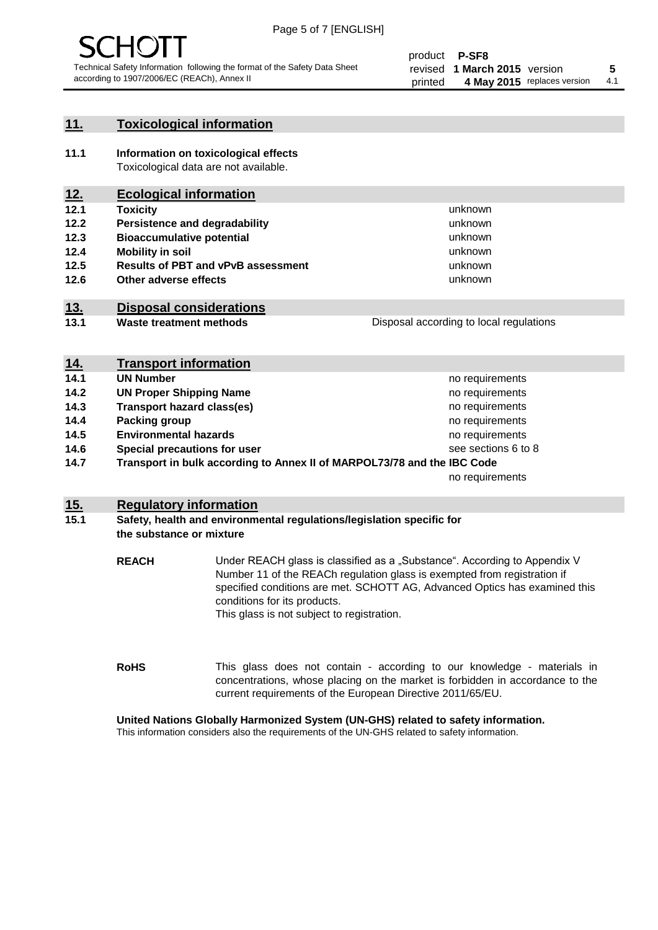

#### **11. Toxicological information**

**11.1 Information on toxicological effects** Toxicological data are not available.

### **12. Ecological information**

- **12.1 Toxicity**
- **12.2 Persistence and degradability**
- **12.3 Bioaccumulative potential**
- **12.4 Mobility in soil**
- **12.5 Results of PBT and vPvB assessment**
- **12.6 Other adverse effects**

#### **13. Disposal considerations**

**13.1 Waste treatment methods**

| Disposal according to local regulations |
|-----------------------------------------|
|                                         |

unknown unknown unknown unknown

unknown unknown

| <u>14.</u> | <b>Transport information</b>                                            |                     |
|------------|-------------------------------------------------------------------------|---------------------|
| 14.1       | <b>UN Number</b>                                                        | no requirements     |
| 14.2       | <b>UN Proper Shipping Name</b>                                          | no requirements     |
| 14.3       | <b>Transport hazard class(es)</b>                                       | no requirements     |
| 14.4       | Packing group                                                           | no requirements     |
| 14.5       | <b>Environmental hazards</b>                                            | no requirements     |
| 14.6       | Special precautions for user                                            | see sections 6 to 8 |
| 14.7       | Transport in bulk according to Annex II of MARPOL73/78 and the IBC Code |                     |
|            |                                                                         | no requirements     |

#### **15. Regulatory information**

#### **15.1 Safety, health and environmental regulations/legislation specific for the substance or mixture**

**REACH** Under REACH glass is classified as a "Substance". According to Appendix V Number 11 of the REACh regulation glass is exempted from registration if specified conditions are met. SCHOTT AG, Advanced Optics has examined this conditions for its products. This glass is not subject to registration.

**RoHS** This glass does not contain - according to our knowledge - materials in concentrations, whose placing on the market is forbidden in accordance to the current requirements of the European Directive 2011/65/EU.

#### **United Nations Globally Harmonized System (UN-GHS) related to safety information.**

This information considers also the requirements of the UN-GHS related to safety information.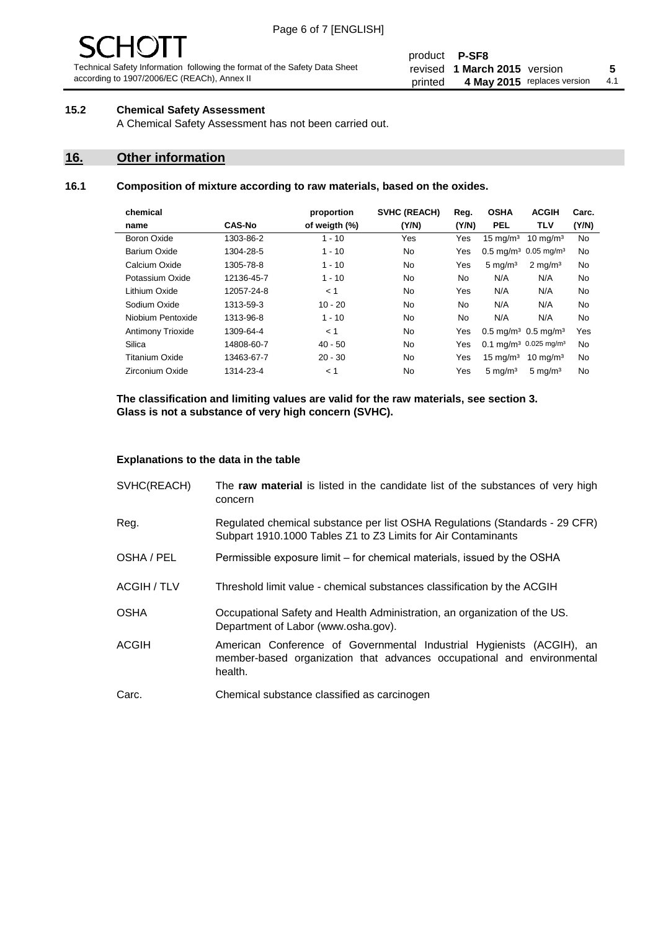# 10 J

Technical Safety Information following the format of the Safety Data Sheet according to 1907/2006/EC (REACh), Annex II

#### product **P-SF8** revised **5 1 March 2015** version printed 4 May 2015 replaces version 4.1

#### **15.2 Chemical Safety Assessment**

A Chemical Safety Assessment has not been carried out.

#### **16. Other information**

#### **16.1 Composition of mixture according to raw materials, based on the oxides.**

| chemical              |               | proportion    | <b>SVHC (REACH)</b> | Reg.      | <b>OSHA</b>                                   | <b>ACGIH</b>                                 | Carc. |
|-----------------------|---------------|---------------|---------------------|-----------|-----------------------------------------------|----------------------------------------------|-------|
| name                  | <b>CAS-No</b> | of weigth (%) | (Y/N)               | (Y/N)     | <b>PEL</b>                                    | TLV                                          | (Y/N) |
| <b>Boron Oxide</b>    | 1303-86-2     | $1 - 10$      | Yes                 | Yes       | $15 \text{ mg/m}^3$                           | $10 \text{ mg/m}^3$                          | No    |
| Barium Oxide          | 1304-28-5     | $1 - 10$      | No.                 | Yes       | $0.5 \text{ mg/m}^3$ 0.05 mg/m <sup>3</sup>   |                                              | No    |
| Calcium Oxide         | 1305-78-8     | $1 - 10$      | No.                 | Yes       | $5 \text{ mg/m}^3$                            | $2 \text{ mg/m}^3$                           | No    |
| Potassium Oxide       | 12136-45-7    | $1 - 10$      | No.                 | <b>No</b> | N/A                                           | N/A                                          | No    |
| Lithium Oxide         | 12057-24-8    | < 1           | No.                 | Yes       | N/A                                           | N/A                                          | No    |
| Sodium Oxide          | 1313-59-3     | $10 - 20$     | No.                 | No.       | N/A                                           | N/A                                          | No    |
| Niobium Pentoxide     | 1313-96-8     | $1 - 10$      | <b>No</b>           | <b>No</b> | N/A                                           | N/A                                          | No    |
| Antimony Trioxide     | 1309-64-4     | < 1           | No.                 | Yes       | $0.5 \,\mathrm{mq/m^3}$ 0.5 mg/m <sup>3</sup> |                                              | Yes   |
| Silica                | 14808-60-7    | $40 - 50$     | No.                 | Yes       |                                               | $0.1 \text{ mg/m}^3$ 0.025 mg/m <sup>3</sup> | No    |
| <b>Titanium Oxide</b> | 13463-67-7    | $20 - 30$     | No.                 | Yes       | $15 \text{ mg/m}^3$                           | 10 mg/m $3$                                  | No    |
| Zirconium Oxide       | 1314-23-4     | < 1           | No.                 | Yes       | $5 \text{ mg/m}^3$                            | $5 \text{ mg/m}^3$                           | No    |

**The classification and limiting values are valid for the raw materials, see section 3. Glass is not a substance of very high concern (SVHC).**

#### **Explanations to the data in the table**

| SVHC(REACH)        | The raw material is listed in the candidate list of the substances of very high<br>concern                                                                 |
|--------------------|------------------------------------------------------------------------------------------------------------------------------------------------------------|
| Reg.               | Regulated chemical substance per list OSHA Regulations (Standards - 29 CFR)<br>Subpart 1910.1000 Tables Z1 to Z3 Limits for Air Contaminants               |
| OSHA / PEL         | Permissible exposure limit – for chemical materials, issued by the OSHA                                                                                    |
| <b>ACGIH / TLV</b> | Threshold limit value - chemical substances classification by the ACGIH                                                                                    |
| <b>OSHA</b>        | Occupational Safety and Health Administration, an organization of the US.<br>Department of Labor (www.osha.gov).                                           |
| ACGIH              | American Conference of Governmental Industrial Hygienists (ACGIH), an<br>member-based organization that advances occupational and environmental<br>health. |
| Carc.              | Chemical substance classified as carcinogen                                                                                                                |